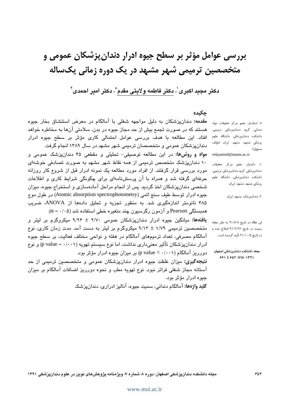بررسی عوامل مؤثر بر سطح جیوه ادرار دندان پزشکان عمومی و متخصصین ترمیمی شهر مشبهد در یک دوره زمانی یکساله

دكتر مجيد اكبرى'، دكتر فاطمه ولايتى مقدم ٌّ، دكتر امير احمدى''

# جكيده

**مقدمه:** دندانپزشکان به دلیل مواجهه شغلی با آمالگام در معرض استنشاق بخار جیوه هستند که در صورت تجمع بیش از حد مجاز جیوه در بدن، سلامتی آنها به مخاطره خواهد افتاد. این مطالعه با هدف بررسی عوامل احتمالی کاری مؤثر بر سطح جیوه ادرار دندانپزشکان عمومی و متخصصان ترمیمی شهر مشهد در سال ۱۳۸۹ انجام گرفت. مواد و روش&ا: در این مطالعه توصیفی– تحلیلی و مقطعی ۴۵ دندانپزشک عمومی و ۱۰ دندانپزشک متخصص ترمیمی از همه نقاط شهر مشهد به صورت تصادفی خوشهای مورد بررسی قرار گرفتند. از افراد مورد مطالعه یک نمونه ادرار قبل از شروع کار روزانه حرفهای گرفته شد و همراه با آن پرسشنامهای برای چگونگی شرایط کاری و اطلاعات شخصی دندانپزشکان اخذ گردید. پس از انجام مراحل آمادهسازی و استخراج جیوه، میزان جيوه ادرار توسط طيف سنج اتمي (Atomic absorption spectrophotometry) در طول موج ۴۸۵ نانومتر اندازهگیری شد. به منظور تجزیه و تحلیل دادهها از ANOVA، ضریب همبستگی Pearson و آزمون رگرسیون چند متغیره خطی استفاده شد (α = ·/٠۵).

**یافتهها:** میانگین جیوه ادرار دندانپزشکان عمومی ۲/۷۰ ± ۹/۲۶ میکروگرم بر لیتر و متخصصین ترمیمی ۱/۷۹ ± ۹/۱۳ میکروگرم بر لیتر به دست آمد. مدت زمان کاری، نوع آمالگام مصرفی، تعداد ترمیمهای آمالگام در هفته و نواحی مختلف فعالیت، بر سطح جیوه ادرار دندانپزشکان تأثیر معنیداری نداشت، اما نوع سیستم تهویه (p value = ۰/۰۰۱) و نوع دورریز آمالگام (p value < ۰/۰۰۱) بر میزان جیوه ادرار مؤثر بود.

**نتیجه گیری:** میزان غلظت جیوه ادرار دندانپزشکان عمومی و متخصصین ترمیمی از حد آستانه مجاز شغلی فراتر نبود. نوع تهویه مطب و نحوه دورریز اضافات آمالگام بر میزان جيوه ادرار مؤڻر پود.

**کلید واژهها:** آمالگام دندانی، سمیت جیوه، آنالیز ادراری، دندانیز شک

\* استادیار، عضو مرکز تحقیقات مواد دندانی، گروه دندانپزشکی ترمیمی، دانشکده دندانپزشکی، دانشگاه علوم یزشکی مشهد، مشهد، ایران (مؤلف مسؤول) velayatimf@mums.ac.ir

۱: دانشیار، عضو مرکز تحقیقات دندانپزشکی، گروه دندانپزشکی ترمیمی، دانشکده دندانپزشکی، دانشگاه علوم پزشکی مشهد، مشهد، ایران

٢: دندانپزشک، مشهد، ایران

این مقاله در تاریخ ۹۱/۷/۸ به دفتر مجله رسیده، در تاریخ ۹۱/۹/۲۶ اصلاح شده و در تاریخ ۹۱/۱۰/۵ تأیید گردیده است.

مجله دانشكده دندانپزشكى اصفهان ١٣٩١، ١٧/٨ ٢٥٢ تا ۶۶١

#### www.mui.ac.ir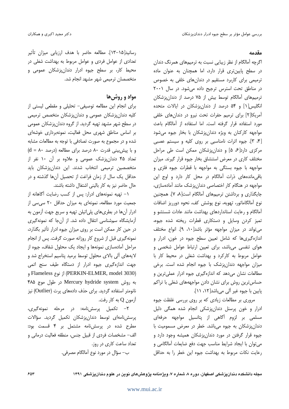#### مقدمه

اگرچه آمالگام از نظر زیبایی نسبت به ترمیمهای همرنگ دندان در سطح پایینتری قرار دارد، اما همچنان به عنوان ماده ترمیمی برای کاربرد مستقیم در دندانهای خلفی به خصوص در مناطق تحت استرس ترجيح داده می شود. در سال ٢٠٠١ ترمیمهای آمالگام توسط بیش از ۷۵ درصد از دندان پزشکان انگلیس[۱] و ۵۴ درصد از دندانپزشکان در ایالات متحده آمریکا[۲] برای ترمیم حفرات تحت نیرو در دندان های خلفی مورد استفاده قرار گرفته است. اما استفاده از آمالگام باعث مواجهه کارکنان به ویژه دندانپزشکان با بخار جیوه میشود [۴، ۳]. جیوه اثرات نامناسبی بر روی کلیه و سیستم عصبی مرکزی دارد[ع ۵] و دندان پزشکان ممکن است طی مراحل مختلف کاری در معرض استنشاق بخار جیوه قرار گیرند. میزان مواجهه با جیوه بستگی به مواجهه با قطرات جیوه فلزی و باقی ماندههای ذرات آمالگام در محل کار دارد و اوج این مواجهه در هنگام کار اختصاصی دندان پزشک مانند آمادهسازی، جایگذاری و برداشتن ترمیمهای آمالگام است[۸، ۷]. همچنین نوع آمالگاماتور، تهویه، نوع پوشش کف، نحوه دورریز اضافات آمالگام و رعایت استانداردهای بهداشت مانند عادات شستشو و تمیز کردن وسایل و دستکاری قطرات ریخته شده جیوه، می تواند در میزان مواجهه مؤثر باشد[١٠، ٩]. انواع مختلف اندازه گیری ها که شامل تعیین سطح جیوه در خون، ادرار و هوای تنفسی می باشد، برای تعیین ارتباط عوامل شخصی و عوامل مربوط به کارکرد و بهداشت شغلی در محیط کار با میزان مواجهه دندان پزشک با جیوه انجام شده است. برخی مطالعات نشان می دهد که اندازهگیری جیوه ادرار عملی ترین و حساس ترین روش برای نشان دادن مواجهههای شغلی با تراکم پایین با جیوه غیر آلی میباشد[۱۲، ۱۱].

مروری بر مطالعات زیادی که بر روی بررسی غلظت جیوه ادرار و خون پرسنل دندان پزشکی انجام شده همگی دلیل مسلمی بر لزوم آگاهی از پتانسیل مواجهه حرفهای دندان پزشکان به جیوه میباشد. خطر در معرض مسمومیت با جیوه قرار گرفتن در مورد دندانپزشکان همیشه وجود دارد و می توان با ایجاد شرایط مناسب جهت دفع ضایعات آمالگامی و رعايت نكات مربوط به بهداشت جيوه اين خطر را به حداقل

رسانيد[١٥-١٣]. مطالعه حاضر با هدف ارزيابي ميزان تأثير تعدادی از عوامل فردی و عوامل مربوط به بهداشت شغلی در محیط کار، بر سطح جیوه ادرار دندانپزشکان عمومی و متخصصان ترميمي شهر مشهد انجام شد.

# مواد و روش ها

برای انجام این مطالعه توصیفی- تحلیلی و مقطعی لیستی از کلیه دندان یزشکان عمومی و دندان یزشکان متخصص ترمیمی در سطح شهر مشهد تهیه گردید. از گروه دندانپزشکان عمومی بر اساس مناطق شهری محل فعالیت، نمونهبرداری خوشهای شده و در مجموع به صورت تصادفی با توجه به مطالعات مشابه  $(d = \lambda \cdot \mu)$ و با پیش بینی قدرت ۸۰ درصد برای مطالعه (درصد تعداد ۴۵ دندانپزشک عمومی و علاوه بر آن ۱۰ نفر از متخصصین ترمیمی انتخاب شدند. این دندان،زشکان باید حداقل یک سال از زمان فراغت از تحصیل آنها گذشته و در حال حاضر نیز به کار بالینی اشتغال داشته باشند.

١- تهيه نمونههاى ادرار: پس از كسب رضايت آگاهانه از جمعیت مورد مطالعه، نمونهای به میزان حداقل ۲۰ سی سی از ادرار آنها در بطریهای پلیاتیلن تهیه و سریع جهت آزمون به آزمایشگاه سمشناسی انتقال داده شد. از آنجا که نمونهگیری در حین کار ممکن است بر روی میزان جیوه ادرار تأثیر بگذارد، نمونه گیری قبل از شروع کار روزانه صورت گرفت. پس از انجام مراحل آمادهسازی نمونهها و ایجاد یک محلول شفاف، جیوه از لایههای آلی بالای محلول توسط برمید پتاسیم استخراج شد و جهت اندازهگیری جیوه ادرار از دستگاه طیف سنج اتمی (PERKIN-ELMER, model 3030) از نوع Flameless و به روش Mercury hydride system در طول موج ۴۸۵ نانومتر استفاده گردید. برای حذف دادههای پرت (Outlier) نیز آزمون Q به کار رفت.

٢- تكميل پرسش نامه: در مرحله نمونهگيرى، پرسش نامەاي توسط دندان پزشكان تكميل گرديد. سؤالات مطرح شده در پرسشنامه مشتمل بر ۴ قسمت بود: الف- مشخصات فردى از قبيل جنس، منطقه فعاليت درماني و تعداد ساعت کاری در روز.

ب– سؤال در مورد نوع آمالگام مصرفی.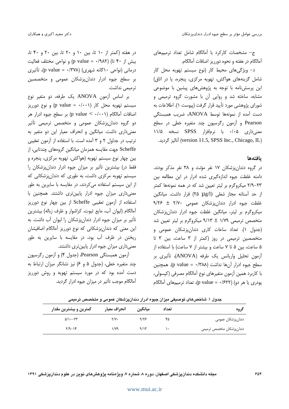ج- مشخصات کارکرد با آمالگام شامل تعداد ترمیمهای آمالگام در هفته و نحوه دورریز اضافات آمالگام.

د- ویژگیهای محیط کار (نوع سیستم تهویه محل کار شامل گزینههای هواکش، تهویه مرکزی، پنجره، یا در اتاق) این پرسش،نامه با توجه به پژوهش های پیشین با موضوعی مشابه، ساخته شد و روایی آن با مشورت گروه ترمیمی و شورای پژوهشی مورد تأیید قرار گرفت (پیوست ۱). اطلاعات به دست آمده از نمونهها توسط ANOVA، ضریب همبستگی Pearson و آزمون رگرسیون چند متغیره خطی در سطح معنیداری ۰/۰۵ با نرمافزار SPSS نسخه ۱۱/۵ (version 11.5, SPSS Inc., Chicago, IL) آناليز گرديد.

### بافتهها

در گروه دندان پزشکان ۱۷ نفر مؤنث و ۳۸ نفر مذکر بودند. دامنه غلظت جیوه اندازهگیری شده ادرار در این مطالعه بین ۲۳–۲/۹ میکروگرم بر لیتر تعیین شد که در همه نمونهها کمتر از حد آستانه مجاز شغلی (۲۵ µ g/) قرار داشت. میانگین 3/۲۶  $\pm$  7/۷۰ علطت جیوه ادرار دندان پزشکان عمومی میکروگرم بر لیتر، میانگین غلظت جیوه ادرار دندانپزشکان متخصص ترميمي ١/٧٩ ± ٩/١٣ ميكروگرم بر ليتر تعيين شد (جدول ۱). تعداد ساعات کاری دندانپزشکان عمومی و متخصصین ترمیمی در روز (کمتر از ۳ ساعت، بین ۳ تا ۵ ساعت، بین ۵ تا ۷ ساعت و بیشتر از ۷ ساعت) با استفاده از آزمون تحليل واريانس يک طرفه (ANOVA)، تأثيري بر سطح جيوه ادرار آن ها نداشت (٣٨٨/٠ = p value). همچنين با كاربرد همين آزمون متغيرهاي نوع آمالگام مصرفي (كيسولي، یودری یا هر دو) (۶۲۲/۰ = p value)، تعداد ترمیمهای آمالگام

در هفته (کمتر از ۱۰ تا، بین ۱۰ و ۲۰ تا، بین ۲۰ و ۴۰ تا، بيش از ۴۰ تا) (p value = ۰/۹۸۲) و نواحي مختلف فعاليت درمانی (نواحی ۱۰گانه شهری) (p value = ۰/۳۷۸)، تأثیری بر سطح جیوه ادرار دندانپزشکان عمومی و متخصصین ترميمي نداشت.

بر اساس آزمون ANOVA یک طرفه، دو متغیر نوع سیستم تھویه محل کار (p value =  $\cdot$ / $\cdot$ ۱) و نوع دورریز اضافات آمالگام (p value <  $\cdot$ / $\cdot$  ) بر سطح جیوه ادرار هر دو گروه دندانپزشکان عمومی و متخصص ترمیمی تأثیر معنی داری داشت. میانگین و انحراف معیار این دو متغیر به ترتیب در جداول ۲ و ۳ آمده است. با استفاده از آزمون تعقیبی Scheffe جهت مقایسه همزمان میانگین گروههای چندتایی، از بین چهار نوع سیستم تهویه (هواکش، تهویه مرکزی، پنجره و فقط در) بیشترین تأثیر بر میزان جیوه ادرار دندانِپزشکان را سیستم تهویه مرکزی داشت، به طوری که دندانپزشکانی که از این سیستم استفاده می کردند، در مقایسه با سایرین به طور معنی داری میزان جیوه ادرار پایینتری داشتند. همچنین با استفاده از آزمون تعقیبی Scheffe از بین چهار نوع دورریز آمالگام (لیوان آب، مایع ثبوت، کراشوار و ظرف زباله) بیشترین تأثیر بر میزان جیوه ادرار دندانپزشکان را لیوان آب داشت. به این معنی که دندانپزشکانی که نوع دورریز آمالگام اضافیشان ریختن در ظرف آب بود، در مقایسه با سایرین به طور معنیداری میزان جیوه ادرار پایینتری داشتند.

آزمون همبستگی Pearson، (جدول ۴) و آزمون رگرسیون چند متغیره خطی، (جدول ۵ و ۶) نیز نشانگر میزان ارتباط به دست آمده بود که در مورد سیستم تهویه و روش دورریز آمالگام موجب تأثیر در میزان جیوه ادرار گردید.

جدول ١. شاخصهای توصیفی میزان جیوه ادرار دندانپزشکان عمومی و متخصص ترمیمی

| گروه                     | تعداد | ميانگين | انحراف معيار        | كمترين و بيشترين مقدار       |
|--------------------------|-------|---------|---------------------|------------------------------|
| دندانپزشکان عمومی        | ۴۵    | 9/55    | $\Upsilon/\Upsilon$ | $\Delta/\left(\cdot-\right)$ |
| دندانپزشکان متخصص ترمیمی | ١٠    | 9/15    | ۱/۷۹                | $\frac{1}{2}$                |

#### www.mui.ac.ir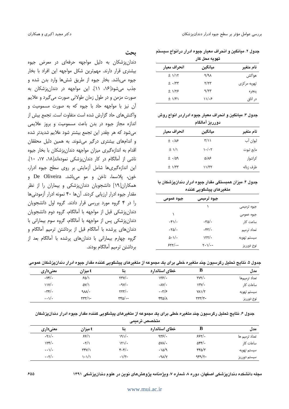### جدول ۲. میانگین و انحراف معیار جیوه ادرار درانواع سیستم

| بهويه محن حار |         |                        |  |  |  |
|---------------|---------|------------------------|--|--|--|
| نام متغير     | ميانگين | انحراف معيار           |  |  |  |
| هواكش         | 9/91    | $\pm$ $1/15$           |  |  |  |
| تهویه مرکزی   | Y/YY    | $\pm$ $\cdot$ /٣٣      |  |  |  |
| پنجره         | 9/77    | $\pm$ 1/۲۶             |  |  |  |
| در اتاق       | ۱۱٬۶    | $\pm$ $1/\mathfrak{f}$ |  |  |  |

### جدول ۳. میانگین و انحراف معیار جیوه ادراردر انواع روش ده , , ىز آمالگام

| ----                        |                                         |           |  |  |  |
|-----------------------------|-----------------------------------------|-----------|--|--|--|
| انحراف معيار                | ميانگين                                 | نام متغير |  |  |  |
| $\pm$ $\cdot$ / $\lambda$ ۶ | $\mathbf{r}/\mathbf{v}$                 | ليوان آب  |  |  |  |
| $\pm$ $1/1$                 | $\mathcal{N} \cdot / \cdot \mathcal{N}$ | مايع ثبوت |  |  |  |
| $\pm$ $\cdot$ /09           | ۵/۸۶                                    | كراشوار   |  |  |  |
| $\pm$ $1/\tau\tau$          | 11/T                                    | ظرف زباله |  |  |  |

### جدول ۴. میزان همبستگی مقدار جیوه ادرار دندانپزشکان با متغيرهاي ييشكويي كننده

| جيوه عمومى                | جیوه ترمیمی              |             |
|---------------------------|--------------------------|-------------|
|                           |                          | جيوه ترميمي |
|                           |                          | جيوه عمومى  |
| $\cdot$ ۴۱/ $\cdot$       | $\cdot \text{rad}/\cdot$ | ساعت کار    |
| $\cdot \text{rad}/\cdot$  | $\cdot$ ۴۳/ $\cdot$      | تعداد ترميم |
| $\Delta \cdot 1/\epsilon$ | $\frac{1}{\sqrt{2}}$     | سيستم تهويه |
| -۰/۲۲۰                    | -۱/۰-۲                   | نوع دورريز  |

## ىحث

دندانپزشکان به دلیل مواجهه حرفهای در معرض جیوه بیشتری قرار دارند. مهمترین شکل مواجهه این افراد با بخار جيوه ميباشد. بخار جيوه از طريق شش¢ا وارد بدن شده و جذب می شود[۱۶، ۱۱]. این مواجهه در دندان پزشکان به صورت مزمن و در طول زمان طولانی صورت می گیرد و علایم آن نیز با مواجهه حاد با جیوه که به صورت مسمومیت و واكنش هاي حاد گزارش شده است متفاوت است. تجمع بيش از اندازه مجاز جیوه در بدن باعث مسمومیت و بروز علایمی می شود که هر چقدر این تجمع بیشتر شود علایم شدیدتر شده و اندامهای بیشتری درگیر می شوند. به همین دلیل محققان اقدام به اندازهگیری میزان مواجهه دندانپزشکان با بخار جیوه ناشی از آمالگام در کار دندان یزشکی نمودهاند[۱۸، ۱۷، ۱۰]. این اندازهگیریها شامل آزمایش بر روی سطح جیوه ادرار، خون، پلاسما، ناخن و مو میباشد. De Oliveira و همکاران[۱۹] دانشجویان دندانپزشکی و بیماران را از نظر مقدار جیوه ادرار ارزیابی کردند. آنها ۴۰ نمونه ادرار آزمودنیها را در ۴ گروه مورد بررسی قرار دادند. گروه اول دانشجویان دندان پزشکی قبل از مواجهه با آمالگام، گروه دوم دانشجویان دندان پزشکی پس از مواجهه با آمالگام، گروه سوم بیمارانی با دندان های پرشده با آمالگام قبل از برداشتن ترمیم آمالگام و گروه چهارم بیمارانی با دندانهای پرشده با آمالگام بعد از برداشتن ترميم آمالگام بودند.

### جدول ۵. نتايج تحليل رگرسيون چند متغيره خطي براي يک مجموعه از متغيرهاي پيشگويي کننده مقدار جيوه ادرار دندانپزشکان عمومي

| مدل           |                                  | خطاي استاندارد                      | ىتا                                | t میزان                                          | معنىدارى                        |
|---------------|----------------------------------|-------------------------------------|------------------------------------|--------------------------------------------------|---------------------------------|
| تعداد ترميمها | $\gamma \gamma / \cdot$          | ۱۳۶/۰                               | ۲۳۷∕۰                              | ۶۵/۱                                             | $\cdot$ Y۴/ $\cdot$             |
| ساعات کا,     | $\gamma \gamma / \gamma$         | $\cdot$ AY/ $\cdot$                 | .9V/                               | ۵۷/۱                                             | $\frac{1}{\sqrt{2}}$            |
| سيستم تهويه   | $Y\lambda \sqrt{7}$              | $\cdot \cdot \mathbf{y}/\mathbf{z}$ | $\mathsf{y}\mathsf{y}\mathsf{y}$ . | $\mathcal{W}$                                    | $\cdot \mathbf{r} \mathbf{r}$ . |
| نوع دورريز    | $\mathsf{y}\mathsf{y}\mathsf{y}$ | ۴۴۵/۸                               | -۰/۳۴۵                             | $\langle \uparrow \uparrow \uparrow \rangle$ ) – | $\cdots$ \/ $\cdot$             |

جدول ۶. نتایج تحلیل رگرسیون چند متغیره خطی برای یک مجموعه از متغیرهای پیشگویی کننده مقدار جیوه ادرار دندانپزشکان

|                                | متخصص ترميمى                                |                                                |                      |                                           |                |  |
|--------------------------------|---------------------------------------------|------------------------------------------------|----------------------|-------------------------------------------|----------------|--|
| معنىدارى                       | t میزان                                     | ىتا                                            | خطاي استاندارد       | в                                         | مدل            |  |
| .91/                           | ۶۶/۱                                        | 191/                                           | $\frac{9}{5}$        | 555.                                      | تعداد ترمیم ها |  |
| $\frac{1}{\sqrt{2}}$           | $\cdot 7/1$                                 | ۱۲۱/۰                                          | $\Delta V \Lambda$ . | $\Delta \mathbf{f} \mathbf{f}/\mathbf{f}$ | ساعات کا,      |  |
| $\cdot \cdot \sqrt{2}$         | $\mathsf{r}\mathsf{r}\mathsf{v}/\mathsf{v}$ | $\mathfrak{r} \cdot \mathfrak{r}/\mathfrak{r}$ | .10/9                | ۴۴۵/۳                                     | سيستم تهويه    |  |
| $\cdot \cdot \mathbf{Y}/\cdot$ | ۱۰۱/۱                                       | $\cdot \sqrt{r}$                               | .9 <sub>N</sub> /V   | $989/7-$                                  | سيستم دورريز   |  |

مجله دانشکده دندان پزشکی اصفهان، دوره ۸، شماره ۷، ویژهنامه پژوهش های نوین در علوم دندان پزشکی ۱۳۹۱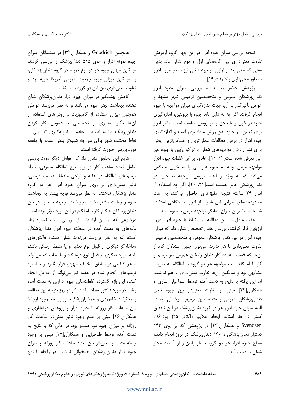نتیجه بررسی میزان جیوه ادرار در این چهار گروه آزمودنی تفاوت معنی داری بین گروههای اول و دوم نشان داد، بدین معنی که حتی بعد از اولین مواجهه شغلی نیز سطح جیوه ادرار به طور معنى دارى بالا رفت[١٩].

پژوهش حاضر به هدف، بررسی میزان جیوه ادرار دندان پزشکان عمومی و متخصصین ترمیمی شهر مشهد و عوامل تأثیر گذار بر آن، جهت اندازهگیری میزان مواجهه با جیوه انجام گرفت. اگر چه به دلیل باند جیوه با پروتئین، اندازهگیری جیوه در خون و یا ناخن و مو روشی مناسب است، آنالیز ادرار برای تعیین بار جیوه بدن روش متداولتری است و اندازهگیری جيوه ادرار در برخي مطالعات عملي ترين و حساس ترين روش برای نشان دادن مواجهههای شغلی با تراکم پایین با جیوه غیر آلی معرفی شده است[۱۲، ۱۱]. علاوه بر این غلظت جیوه ادرار مواجهه مزمن اولیه به جیوه غیر آلی را به خوبی منعکس می کند که به ویژه از لحاظ بررسی مواجهه به جیوه در دندان پزشکی حایز اهمیت است[۲۰، ۲۰]. اگر چه استفاده از ادرار ٢۴ ساعته نتيجه دقيقترى حاصل مى كند، به علت محدودیتهای اجرایی این شیوه، از ادرار صبحگاهی استفاده شد تا به بیشترین میزان نشانگر مواجهه مزمن با جیوه باشد.

هفت عامل در این مطالعه در ارتباط با جیوه ادرار مورد ارزیابی قرار گرفتند. بررسی عامل تخصص نشان داد که میزان جیوه ادرار در بین دندان پزشکان عمومی و متخصصین ترمیمی تفاوت معنیداری با هم ندارند. میتوان چنین استدلال کرد از آنجا که قسمت عمده کار دندانپزشکان عمومی نیز ترمیم و کار با آمالگام است مواجهه هر دو گروه با آمالگام به صورت مشابهی بود و میانگین آنها تفاوت معنیداری با هم نداشت. اما این یافته با نتایج به دست آمده توسط اسماعیلی ساری و همکاران[۲۲] مبنی بر تفاوت معنیدار بین جیوه ناخن دندانپزشکان عمومی و متخصصین ترمیمی، یکسان نیست. البته میزان جیوه ادرار هر دو گروه دندان پزشک در این تحقیق كمتر از حد آستانه ايجاد علايم (٢٥ μg/l) بود[١۶]. Svendsen و همکاران[۲۳] در پژوهشی که بر روی ۱۴۳ دستیار دندان پزشکی و ۱۳۰ دندان پزشک در نروژ انجام دادند، سطح جیوه ادرار هر دو گروه بسیار پایینتر از آستانه مجاز شغلی به دست آمد.

همچنین Goodrich و همکاران[۲۴] در میشیگان میزان جیوه نمونه ادرار و موی ۵۱۵ دندانپزشک را بررسی کردند. میانگین میزان جیوه هر دو نوع نمونه در گروه دندانپزشکان، به میانگین میزان جیوه جمعیت عمومی آمریکا شبیه بود و تفاوت معنی داری بین این دو گروه یافت نشد.

کاهش چشمگیر در میزان جیوه ادرار دندانپزشکان نشان دهنده بهداشت بهتر جيوه مي باشد و به نظر مي رسد عواملي همچون میزان استفاده از کامپوزیت و روشهای استفاده از آنها تأثیر بیشتری از تخصصی یا عمومی کار کردن دندان پزشک داشته است. استفاده از نمونهگیری تصادفی از نقاط مختلف شهر براي هر چه شبيهتر بودن نمونه با جامعه مورد بررسی صورت گرفته است.

نتايج اين تحقيق نشان داد كه عوامل ديگر مورد بررسي شامل تعداد ساعت کار در روز، نوع آمالگام مصرفی، تعداد ترمیمهای آمالگام در هفته و نواحی مختلف فعالیت درمانی، تأثیر معنیداری بر روی میزان جیوه ادرار هر دو گروه دندانپزشکان نداشتند. به نظر میرسد توجه بیشتر به بهداشت جیوه و رعایت بیشتر نکات مربوط به مواجهه با جیوه در بین دندانپزشکان هنگام کار با آمالگام در این مورد مؤثر بوده است. موضوعی که در این ارتباط قابل بررسی است، گستره زیاد دادههای به دست آمده در غلظت جیوه ادرار دندانپزشکان است، که به نظر می رسد می تواند نشان دهنده فاکتورهای مداخلهگر دیگری از قبیل نوع تغذیه و یا منطقه زندگی باشد، البته موارد دیگری از قبیل نوع درمانگاه و یا مطب که می تواند با هر کیفیتی در مناطق مختلف شهری قرار بگیرد و یا اندازه ترمیمهای انجام شده در هفته نیز می تواند از عوامل ایجاد کننده این بازه گسترده غلظتهای جیوه ادراری به دست آمده باشد. در مورد فاکتور تعداد ساعت کار در روز نتیجه این مطالعه با تحقیقات خاموردی و همکاران[۲۵] مبنی بر عدم وجود ارتباط بین ساعات کار روزانه با جیوه ادرار و پژوهش ذوالفقاری و همکاران[۲۶] مبنی بر عدم وجود تأثیر معنیدار ساعات کار روزانه بر میزان جیوه مو، همسو بود. در حالی که با نتایج به دست آمده توسط طباطبایی و همکاران[۲۷] مبنی بر وجود رابطه مثبت و معنی دار بین تعداد ساعات کار روزانه و میزان جیوه ادرار دندانپزشکان، همخوانی نداشت. در رابطه با نوع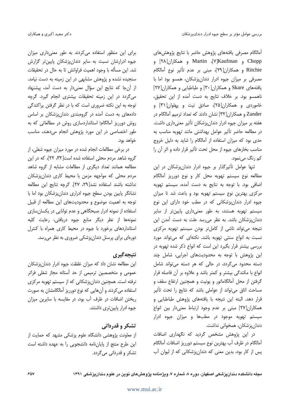آمالگام مصرفى يافتههاى پژوهش حاضر با نتايج پژوهشهاى Chopp و V]Kaufmanإv Martin و همكاران[۲۸] و Ritchie و همكاران[٢٩]، مبنى بر عدم تأثير نوع آمالگام مصرفی بر میزان جیوه ادرار دندان پزشکان، همسو بود اما با یافتههای Skare و همکاران[۳۰] و طباطبایی و همکاران[۲۷] ناهمسو بود. بر خلاف نتايج به دست آمده از اين تحقيق، خاموردی و همکاران[۲۵]، صادق نیت و پهلوان[۳۱] و Zander و همکاران[۳۲] نشان دادند که تعداد ترمیم آمالگام در هفته بر میزان جیوه ادرار دندان پزشکان تأثیر معنیداری داشت. در مطالعه حاضر تأثیر عوامل بهداشتی مانند تهویه مناسب به حدی بود که میزان استفاده از آمالگام را شاید به دلیل خروج مناسب بخارهای جیوه از محل تحت تأثیر قرار داده و اثر آن را کم رنگ مے نمود.

تنها عوامل تأثیرگذار بر جیوه ادرار دندان پزشکان در این مطالعه نوع سیستم تهویه محل کار و نوع دورریز آمالگام اضافی بود. با توجه به نتایج به دست آمده، سیستم تهویه مرکزی بهترین نوع سیستم تهویه بود و باعث شد تا میزان جیوه ادرار دندانپزشکانی که در مطب خود دارای این نوع سیستم تهویه هستند، به طور معنیداری پایینتر از سایر دندان پزشکان باشد. به نظر می رسد علت به دست آمدن این نتیجه میتواند ناشی از کاملتر بودن سیستم تهویه مرکزی نسبت به انواع سنتی تهویه باشد. نکتهای که میتواند مورد بررسی بیشتر قرار بگیرد این است که انواع ذکر شده تهویه در این پژوهش با توجه به محدودیتهای اجرایی، شامل چند دسته محدود می گردد، در حالی که هر دسته می تواند شامل انواع با مکندگی بیشتر و کمتر باشد و علاوه بر آن فاصله قرار گرفتن از محل آمالگاماتور و یونیت و همچنین ارتفاع سقف و مساحت اتاق می تواند از عواملی باشد که نتایج را تحت تأثیر قرار دهد. البته این نتیجه با یافتههای پژوهش طباطبایی و همكاران[٢٧] مبنى بر عدم وجود ارتباط معنىدار بين انواع سیستم تهویه موجود در مطبها و میزان جیوه ادرار دندانپزشکان، همخوانی نداشت.

در این پژوهش مشخص گردید که نگهداری اضافات آمالگام در ظرف آب بهترین نوع سیستم دورریز اضافات آمالگام پس از کار بود، بدین معنی که دندانپزشکانی که از لیوان آب

برای این منظور استفاده می کردند به طور معنی داری میزان جیوه ادرارشان نسبت به سایر دندان پزشکان پایینتر گزارش شد. این مسأله با وجود اهمیت فراوانش تا به حال در تحقیقات سنجیده نشده و پژوهش مشابهی در این زمینه به دست نیامد. از آنجا که نتایج این سؤال معنی دار به دست آمد، پیشنهاد می گردد در این زمینه تحقیقات بیشتری انجام گیرد. گرچه توجه به این نکته ضروری است که با در نظر گرفتن پراکندگی دادههای به دست آمده در گروهبندی دندانپزشکان بر اساس روش دورریز آمالگام؛ استانداردسازی روش در مطالعاتی که به طور اختصاصی در این مورد پژوهش انجام میدهند، مناسب خواهد بود.

در برخی مطالعات انجام شده در مورد میزان جیوه شغلی، از گروه شاهد مردم محلی استفاده شده است[۳۲، ۲۲]، که در این مطالعه همانند تعداد دیگری از مطالعات مشابه از گروه شاهد مردم محلی که مواجهه مزمن با محیط کاری دندانپزشکان نداشته باشند استفاده نشد[٢٩، ٢٧]. گرچه نتایج این مطالعه نشانگر پایین بودن سطح جیوه ادراری دندانپزشکان بود اما با توجه به اهمیت موضوع و محدودیتهای این مطالعه از قبیل استفاده از نمونه ادرار صبحگاهی و عدم توانایی در یکسان سازی نمونهها از نظر دیگر منابع جیوه دریافتی، رعایت کلیه استانداردهای برخورد با جیوه در محیط کاری همراه با کنترل دورهای برای پرسنل دندان پزشکی ضروری به نظر می رسد.

### نتيجه گيري

این مطالعه نشان داد که میزان غلظت جیوه ادرار دندانپزشکان عمومی و متخصصین ترمیمی از حد آستانه مجاز شغلی فراتر نرفته است. همچنین دندان پزشکانی که از سیستم تهویه مرکزی استفاده می کردند و آن هایی که نوع دورریز آمالگامشان به صورت ریختن اضافات در ظرف آب بود، در مقایسه با سایرین میزان جیوه ادرار پایین تری داشتند.

### تشکر و قدردان*ی*

از معاونت پژوهشی دانشگاه علوم پزشکی مشهد که حمایت از این طرح منتج از پایاننامه دانشجویی را به عهده داشته است تشکر و قدردانی میگردد.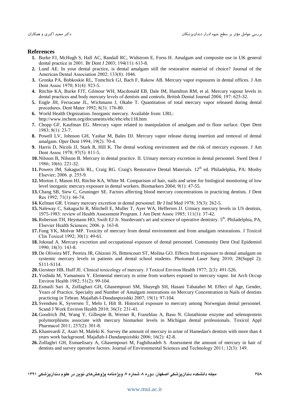#### **References**

- 1. Burke FJ, McHugh S, Hall AC, Randall RC, Widstrom E, Forss H. Amalgam and composite use in UK general dental practice in 2001. Br Dent J 2003; 194(11): 613-8.
- 2. Lund AE. In your dental practice, is dental amalgam still the restorative material of choice? Journal of the American Dental Association 2002; 133(8): 1046.
- 3. Gronka PA, Bobkoskie RL, Tomchick GJ, Bach F, Rakow AB. Mercury vapor exposures in dental offices. J Am Dent Assoc 1970: 81(4): 923-5.
- 4. Ritchie KA, Burke FJT, Gilmour WH, Macdonald EB, Dale IM, Hamilton RM, et al. Mercury vapour levels in dental practices and body mercury levels of dentists and controls. British Dental Journal 2004; 197: 625-32.
- 5. Engle JH, Ferracane JL, Wichmann J, Okabe T. Quantitation of total mercury vapor released during dental procedures. Dent Mater 1992; 8(3): 176-80.
- 6. World Health Orgnization. Inorganic mercury. Available from: URL: http://www.inchem.org/documents/ehc/ehc/ehc118.htm
- 7. Chopp GF, Kaufman EG. Mercury vapor related to manipulation of amalgam and to floor surface. Oper Dent  $1983; 8(1): 23-7.$
- 8. Powell LV, Johnson GH, Yashar M, Bales DJ. Mercury vapor release during insertion and removal of dental amalgam. Oper Dent 1994; 19(2): 70-4.
- 9. Harris D, Nicols JJ, Stark R, Hill K. The dental working environment and the risk of mercury exposure. J Am Dent Assoc 1978: 97(5): 811-5.
- 10. Nilsson B, Nilsson B. Mercury in dental practice. II. Urinary mercury excretion in dental personnel. Swed Dent J 1986; 10(6): 221-32.
- 11. Powers JM, Sakaguchi RL, Craig RG. Craig's Restorative Dental Materials. 12<sup>th</sup> ed. Philadelphia, PA: Mosby Elsevier; 2006. p. 255-9.
- 12. Morton J, Mason HJ, Ritchie KA, White M. Comparison of hair, nails and urine for biological monitoring of low level inorganic mercury exposure in dental workers. Biomarkers  $2004$ ;  $9(1)$ :  $47-55$ .
- 13. Chang SB, Siew C, Gruninger SE. Factors affecting blood mercury concentrations in practicing dentists. J Dent Res 1992; 71(1): 66-74.
- **14.** Kelman GR. Urinary mercury excretion in dental personnel. Br J Ind Med 1978; 35(3): 262-5.
- 15. Naleway C, Sakaguchi R, Mitchell E, Muller T, Ayer WA, Hefferren JJ. Urinary mercury levels in US dentists, 1975-1983: review of Health Assessment Program. J Am Dent Assoc 1985; 111(1): 37-42.
- 16. Roberson TH, Heymann HO, Swift EJ Jr. Sturdevant's art and science of operative dentistry. 5<sup>th</sup>. Philadelphia, PA, Elsevier Health Sciences; 2006. p. 163-8.
- 17. Fung YK, Molvar MP. Toxicity of mercury from dental environment and from amalgam restorations. J Toxicol Clin Toxicol 1992; 30(1): 49-61.
- 18. Jokstad A. Mercury excretion and occupational exposure of dental personnel. Community Dent Oral Epidemiol  $1990; 18(3): 143-8.$
- 19. De Oliveira MT, Pereira JR, Ghizoni JS, Bittencourt ST, Molina GO. Effects from exposure to dental amalgam on systemic mercury levels in patients and dental school students. Photomed Laser Surg 2010; 28(Suppl 2): S111-S114.
- 20. Gerstner HB, Huff JE. Clinical toxicology of mercury. J Toxicol Environ Health 1977; 2(3): 491-526.
- 21. Yoshida M, Yamamura Y. Elemental mercury in urine from workers exposed to mercury vapor. Int Arch Occup Environ Health 1982; 51(2): 99-104.
- 22. Esmaili Sari A, Zolfaghari GH, Ghasempouri SM, Shayegh SH, Hasani Tabatabei M. Effect of Age, Gender, Years of Practice, Specialty and Number of Amalgam restorations on Mercury Concentration in Nails of dentists practicing in Tehran. Majallah-I-Dandanpizishki 2007; 19(1): 97-104.
- 23. Svendsen K, Syversen T, Melo I, Hilt B. Historical exposure to mercury among Norwegian dental personnel. Scand J Work Environ Health 2010; 36(3): 231-41.
- 24. Goodrich JM, Wang Y, Gillespie B, Werner R, Franzblau A, Basu N. Glutathione enzyme and selenoprotein polymorphisms associate with mercury biomarker levels in Michigan dental professionals. Toxicol Appl Pharmacol 2011; 257(2): 301-8.
- 25. Khamvardi Z. Asari M. Maleki K. Survey the amount of mercury in urine of Hamedan's dentists with more than 4 years work background. Majallah-I-Dandanpizishki 2006; 16(2): 42-8.
- 26. Zolfaghri GH, Esmaelisary A, Ghasempouri M, Faghihzadeh S. Assessment the amount of mercury in hair of dentists and survey operative factors. Journal of Environmental Sciences and Technology 2011; 12(3): 149.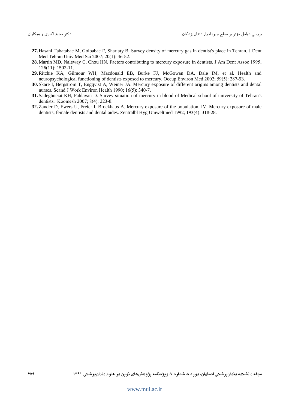- 27. Hasani Tabatabae M, Golbabae F, Shariaty B. Survey density of mercury gas in dentist's place in Tehran. J Dent Med Tehran Univ Med Sci 2007; 20(1): 46-52.
- 28. Martin MD, Naleway C, Chou HN. Factors contributing to mercury exposure in dentists. J Am Dent Assoc 1995;  $126(11): 1502-11.$
- 29. Ritchie KA, Gilmour WH, Macdonald EB, Burke FJ, McGowan DA, Dale IM, et al. Health and neuropsychological functioning of dentists exposed to mercury. Occup Environ Med 2002; 59(5): 287-93.
- 30. Skare I, Bergstrom T, Engqvist A, Weiner JA. Mercury exposure of different origins among dentists and dental nurses. Scand J Work Environ Health 1990; 16(5): 340-7.
- 31. Sadeghneiat KH, Pahlavan D. Survey situation of mercury in blood of Medical school of university of Tehran's dentists. Koomesh 2007; 8(4): 223-8.
- 32. Zander D, Ewers U, Freier I, Brockhaus A. Mercury exposure of the population. IV. Mercury exposure of male dentists, female dentists and dental aides. Zentralbl Hyg Umweltmed 1992; 193(4): 318-28.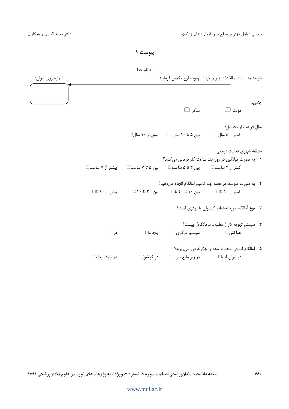ييوست ١

به نام خدا